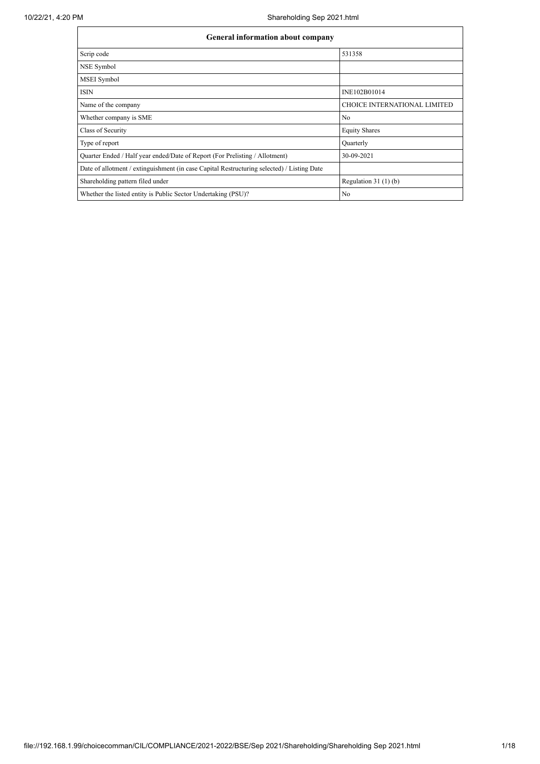| General information about company                                                          |                                     |  |  |  |  |  |
|--------------------------------------------------------------------------------------------|-------------------------------------|--|--|--|--|--|
| Scrip code                                                                                 | 531358                              |  |  |  |  |  |
| NSE Symbol                                                                                 |                                     |  |  |  |  |  |
| <b>MSEI</b> Symbol                                                                         |                                     |  |  |  |  |  |
| <b>ISIN</b>                                                                                | INE102B01014                        |  |  |  |  |  |
| Name of the company                                                                        | <b>CHOICE INTERNATIONAL LIMITED</b> |  |  |  |  |  |
| Whether company is SME                                                                     | No                                  |  |  |  |  |  |
| Class of Security                                                                          | <b>Equity Shares</b>                |  |  |  |  |  |
| Type of report                                                                             | Quarterly                           |  |  |  |  |  |
| Quarter Ended / Half year ended/Date of Report (For Prelisting / Allotment)                | 30-09-2021                          |  |  |  |  |  |
| Date of allotment / extinguishment (in case Capital Restructuring selected) / Listing Date |                                     |  |  |  |  |  |
| Shareholding pattern filed under                                                           | Regulation $31(1)(b)$               |  |  |  |  |  |
| Whether the listed entity is Public Sector Undertaking (PSU)?                              | No                                  |  |  |  |  |  |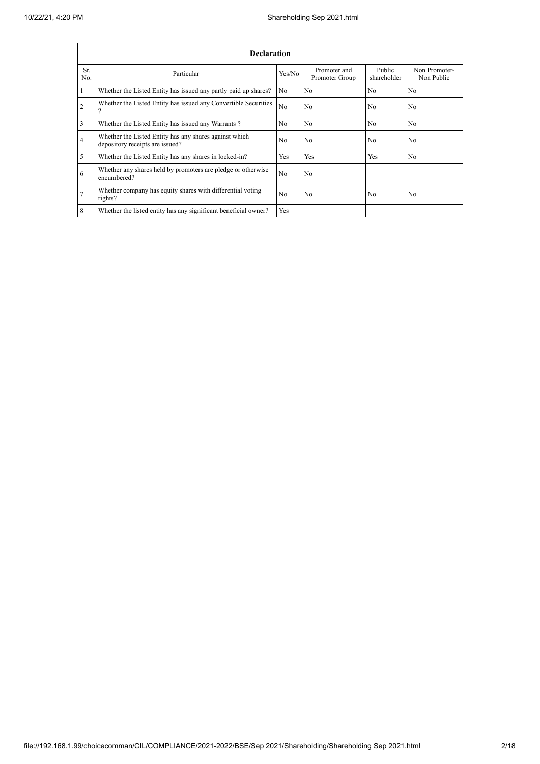|                                                                      | <b>Declaration</b>                                                                        |                |                                |                       |                             |  |  |  |
|----------------------------------------------------------------------|-------------------------------------------------------------------------------------------|----------------|--------------------------------|-----------------------|-----------------------------|--|--|--|
| Sr.<br>No.                                                           | Particular                                                                                | Yes/No         | Promoter and<br>Promoter Group | Public<br>shareholder | Non Promoter-<br>Non Public |  |  |  |
|                                                                      | Whether the Listed Entity has issued any partly paid up shares?                           | No.            | No                             | No                    | N <sub>o</sub>              |  |  |  |
| 2                                                                    | Whether the Listed Entity has issued any Convertible Securities                           | N <sub>0</sub> | N <sub>0</sub>                 | N <sub>0</sub>        | N <sub>0</sub>              |  |  |  |
| 3                                                                    | Whether the Listed Entity has issued any Warrants?                                        | N <sub>o</sub> | No                             | No                    | N <sub>o</sub>              |  |  |  |
| 4                                                                    | Whether the Listed Entity has any shares against which<br>depository receipts are issued? | N <sub>0</sub> | N <sub>0</sub>                 | N <sub>0</sub>        | N <sub>0</sub>              |  |  |  |
| 5                                                                    | Whether the Listed Entity has any shares in locked-in?                                    | Yes            | Yes                            | <b>Yes</b>            | N <sub>0</sub>              |  |  |  |
| 6                                                                    | Whether any shares held by promoters are pledge or otherwise<br>encumbered?               | N <sub>0</sub> | N <sub>0</sub>                 |                       |                             |  |  |  |
|                                                                      | Whether company has equity shares with differential voting<br>rights?                     | N <sub>0</sub> | N <sub>0</sub>                 | No                    | N <sub>0</sub>              |  |  |  |
| 8<br>Whether the listed entity has any significant beneficial owner? |                                                                                           |                |                                |                       |                             |  |  |  |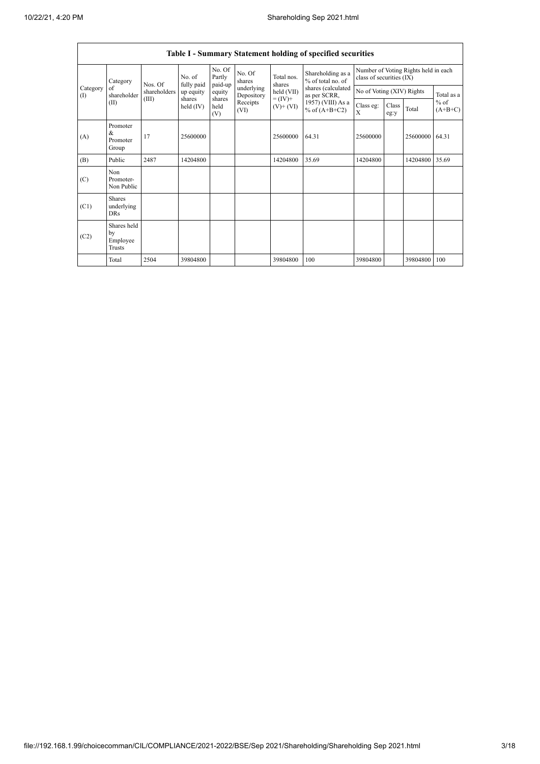r

|                          | Table I - Summary Statement holding of specified securities |                                                |                                    |                             |                          |                                            |                                                                                                                      |                                                                  |               |                |                     |
|--------------------------|-------------------------------------------------------------|------------------------------------------------|------------------------------------|-----------------------------|--------------------------|--------------------------------------------|----------------------------------------------------------------------------------------------------------------------|------------------------------------------------------------------|---------------|----------------|---------------------|
|                          | Category<br>of<br>shareholder<br>(II)                       | Nos. Of<br>fully paid<br>shareholders<br>(III) | No. of                             | No. Of<br>Partly<br>paid-up | No. Of<br>shares         | Total nos.<br>shares                       | Shareholding as a<br>% of total no. of<br>shares (calculated<br>as per SCRR,<br>1957) (VIII) As a<br>% of $(A+B+C2)$ | Number of Voting Rights held in each<br>class of securities (IX) |               |                |                     |
| Category<br>$($ $\Gamma$ |                                                             |                                                | up equity<br>shares<br>held $(IV)$ | equity                      | underlying<br>Depository | held (VII)<br>$= (IV) +$<br>$(V)$ + $(VI)$ |                                                                                                                      | No of Voting (XIV) Rights                                        |               |                | Total as a          |
|                          |                                                             |                                                |                                    | shares<br>held<br>(V)       | Receipts<br>(VI)         |                                            |                                                                                                                      | Class eg:<br>X                                                   | Class<br>eg:y | Total          | $%$ of<br>$(A+B+C)$ |
| (A)                      | Promoter<br>&<br>Promoter<br>Group                          | 17                                             | 25600000                           |                             |                          | 25600000                                   | 64.31                                                                                                                | 25600000                                                         |               | 25600000 64.31 |                     |
| (B)                      | Public                                                      | 2487                                           | 14204800                           |                             |                          | 14204800                                   | 35.69                                                                                                                | 14204800                                                         |               | 14204800 35.69 |                     |
| (C)                      | Non<br>Promoter-<br>Non Public                              |                                                |                                    |                             |                          |                                            |                                                                                                                      |                                                                  |               |                |                     |
| (C1)                     | <b>Shares</b><br>underlying<br><b>DRs</b>                   |                                                |                                    |                             |                          |                                            |                                                                                                                      |                                                                  |               |                |                     |
| (C2)                     | Shares held<br>by<br>Employee<br>Trusts                     |                                                |                                    |                             |                          |                                            |                                                                                                                      |                                                                  |               |                |                     |
|                          | Total                                                       | 2504                                           | 39804800                           |                             |                          | 39804800                                   | 100                                                                                                                  | 39804800                                                         |               | 39804800       | 100                 |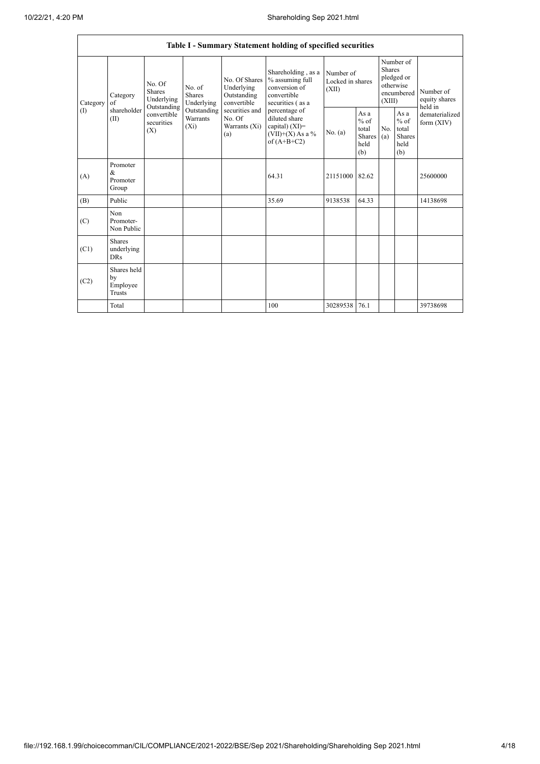|                      | Table I - Summary Statement holding of specified securities |                                                                                                                                                                  |                                                  |                                                                                         |                                                                                           |                                                  |            |                                                                               |                                |                                       |
|----------------------|-------------------------------------------------------------|------------------------------------------------------------------------------------------------------------------------------------------------------------------|--------------------------------------------------|-----------------------------------------------------------------------------------------|-------------------------------------------------------------------------------------------|--------------------------------------------------|------------|-------------------------------------------------------------------------------|--------------------------------|---------------------------------------|
| Category<br>$\Omega$ | Category<br>of<br>shareholder<br>(II)                       | No. Of<br>No. of<br>Shares<br><b>Shares</b><br>Underlying<br>Underlying<br>Outstanding<br>Outstanding<br>convertible<br>Warrants<br>securities<br>$(X_i)$<br>(X) |                                                  | No. Of Shares<br>Underlying<br>Outstanding<br>convertible                               | Shareholding, as a<br>% assuming full<br>conversion of<br>convertible<br>securities (as a | Number of<br>Locked in shares<br>(XII)           |            | Number of<br><b>Shares</b><br>pledged or<br>otherwise<br>encumbered<br>(XIII) |                                | Number of<br>equity shares<br>held in |
|                      |                                                             |                                                                                                                                                                  | securities and<br>No. Of<br>Warrants (Xi)<br>(a) | percentage of<br>diluted share<br>capital) (XI)=<br>$(VII)+(X)$ As a %<br>of $(A+B+C2)$ | No. (a)                                                                                   | As a<br>$%$ of<br>total<br>Shares<br>held<br>(b) | No.<br>(a) | As a<br>$%$ of<br>total<br>Shares<br>held<br>(b)                              | dematerialized<br>form $(XIV)$ |                                       |
| (A)                  | Promoter<br>&<br>Promoter<br>Group                          |                                                                                                                                                                  |                                                  |                                                                                         | 64.31                                                                                     | 21151000 82.62                                   |            |                                                                               |                                | 25600000                              |
| (B)                  | Public                                                      |                                                                                                                                                                  |                                                  |                                                                                         | 35.69                                                                                     | 9138538                                          | 64.33      |                                                                               |                                | 14138698                              |
| (C)                  | Non<br>Promoter-<br>Non Public                              |                                                                                                                                                                  |                                                  |                                                                                         |                                                                                           |                                                  |            |                                                                               |                                |                                       |
| (C1)                 | <b>Shares</b><br>underlying<br><b>DRs</b>                   |                                                                                                                                                                  |                                                  |                                                                                         |                                                                                           |                                                  |            |                                                                               |                                |                                       |
| (C2)                 | Shares held<br>by<br>Employee<br>Trusts                     |                                                                                                                                                                  |                                                  |                                                                                         |                                                                                           |                                                  |            |                                                                               |                                |                                       |
|                      | Total                                                       |                                                                                                                                                                  |                                                  |                                                                                         | 100                                                                                       | 30289538                                         | 76.1       |                                                                               |                                | 39738698                              |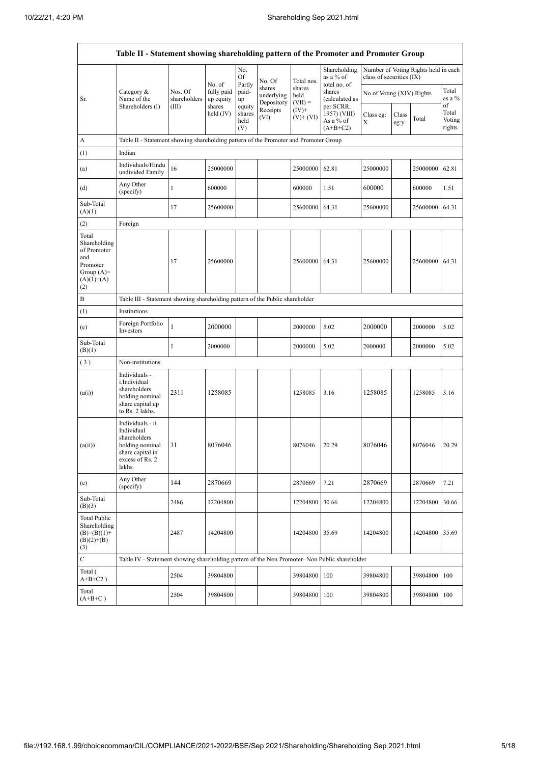|                                                                                                | Table II - Statement showing shareholding pattern of the Promoter and Promoter Group                                |                                                                                      |                                             |                                 |                                    |                             |                                                      |                                                                  |               |          |                           |
|------------------------------------------------------------------------------------------------|---------------------------------------------------------------------------------------------------------------------|--------------------------------------------------------------------------------------|---------------------------------------------|---------------------------------|------------------------------------|-----------------------------|------------------------------------------------------|------------------------------------------------------------------|---------------|----------|---------------------------|
|                                                                                                |                                                                                                                     |                                                                                      |                                             | No.<br>Of<br>Partly             | No. Of                             | Total nos.                  | Shareholding<br>as a % of<br>total no. of            | Number of Voting Rights held in each<br>class of securities (IX) |               |          |                           |
| Sr.                                                                                            | Category &<br>Name of the<br>Shareholders (I)                                                                       | Nos. Of<br>shareholders                                                              | No. of<br>fully paid<br>up equity<br>shares | paid-<br>up                     | shares<br>underlying<br>Depository | shares<br>held<br>$(VII) =$ | shares<br>(calculated as                             | No of Voting (XIV) Rights                                        |               |          | Total<br>as a %<br>of     |
|                                                                                                |                                                                                                                     | (III)                                                                                | held $(IV)$                                 | equity<br>shares<br>held<br>(V) | Receipts<br>(VI)                   | $(IV)^+$<br>$(V)$ + $(VI)$  | per SCRR,<br>1957) (VIII)<br>As a % of<br>$(A+B+C2)$ | Class eg:<br>Х                                                   | Class<br>eg:y | Total    | Total<br>Voting<br>rights |
| А                                                                                              |                                                                                                                     | Table II - Statement showing shareholding pattern of the Promoter and Promoter Group |                                             |                                 |                                    |                             |                                                      |                                                                  |               |          |                           |
| (1)                                                                                            | Indian                                                                                                              |                                                                                      |                                             |                                 |                                    |                             |                                                      |                                                                  |               |          |                           |
| (a)                                                                                            | Individuals/Hindu<br>undivided Family                                                                               | 16                                                                                   | 25000000                                    |                                 |                                    | 25000000                    | 62.81                                                | 25000000                                                         |               | 25000000 | 62.81                     |
| (d)                                                                                            | Any Other<br>(specify)                                                                                              | 1                                                                                    | 600000                                      |                                 |                                    | 600000                      | 1.51                                                 | 600000                                                           |               | 600000   | 1.51                      |
| Sub-Total<br>(A)(1)                                                                            |                                                                                                                     | 17                                                                                   | 25600000                                    |                                 |                                    | 25600000                    | 64.31                                                | 25600000                                                         |               | 25600000 | 64.31                     |
| (2)                                                                                            | Foreign                                                                                                             |                                                                                      |                                             |                                 |                                    |                             |                                                      |                                                                  |               |          |                           |
| Total<br>Shareholding<br>of Promoter<br>and<br>Promoter<br>Group $(A)=$<br>$(A)(1)+(A)$<br>(2) |                                                                                                                     | 17                                                                                   | 25600000                                    |                                 |                                    | 25600000                    | 64.31                                                | 25600000                                                         |               | 25600000 | 64.31                     |
| B                                                                                              |                                                                                                                     | Table III - Statement showing shareholding pattern of the Public shareholder         |                                             |                                 |                                    |                             |                                                      |                                                                  |               |          |                           |
| (1)                                                                                            | Institutions                                                                                                        |                                                                                      |                                             |                                 |                                    |                             |                                                      |                                                                  |               |          |                           |
| (e)                                                                                            | Foreign Portfolio<br>Investors                                                                                      | $\mathbf{1}$                                                                         | 2000000                                     |                                 |                                    | 2000000                     | 5.02                                                 | 2000000                                                          |               | 2000000  | 5.02                      |
| Sub-Total<br>(B)(1)                                                                            |                                                                                                                     | 1                                                                                    | 2000000                                     |                                 |                                    | 2000000                     | 5.02                                                 | 2000000                                                          |               | 2000000  | 5.02                      |
| (3)                                                                                            | Non-institutions                                                                                                    |                                                                                      |                                             |                                 |                                    |                             |                                                      |                                                                  |               |          |                           |
| (a(i))                                                                                         | Individuals -<br>i.Individual<br>shareholders<br>holding nominal<br>share capital up<br>to Rs. 2 lakhs.             | 2311                                                                                 | 1258085                                     |                                 |                                    | 1258085                     | 3.16                                                 | 1258085                                                          |               | 1258085  | 3.16                      |
| (a(ii))                                                                                        | Individuals - ii.<br>Individual<br>shareholders<br>holding nominal<br>share capital in<br>excess of Rs. 2<br>lakhs. | 31                                                                                   | 8076046                                     |                                 |                                    | 8076046                     | 20.29                                                | 8076046                                                          |               | 8076046  | 20.29                     |
| (e)                                                                                            | Any Other<br>(specify)                                                                                              | 144                                                                                  | 2870669                                     |                                 |                                    | 2870669                     | 7.21                                                 | 2870669                                                          |               | 2870669  | 7.21                      |
| Sub-Total<br>(B)(3)                                                                            |                                                                                                                     | 2486                                                                                 | 12204800                                    |                                 |                                    | 12204800                    | 30.66                                                | 12204800                                                         |               | 12204800 | 30.66                     |
| <b>Total Public</b><br>Shareholding<br>$(B)=(B)(1)+$<br>$(B)(2)+(B)$<br>(3)                    |                                                                                                                     | 2487                                                                                 | 14204800                                    |                                 |                                    | 14204800                    | 35.69                                                | 14204800                                                         |               | 14204800 | 35.69                     |
| $\mathbf C$                                                                                    | Table IV - Statement showing shareholding pattern of the Non Promoter- Non Public shareholder                       |                                                                                      |                                             |                                 |                                    |                             |                                                      |                                                                  |               |          |                           |
| Total (<br>$A+B+C2$ )                                                                          |                                                                                                                     | 2504                                                                                 | 39804800                                    |                                 |                                    | 39804800                    | 100                                                  | 39804800                                                         |               | 39804800 | 100                       |
| Total<br>$(A+B+C)$                                                                             |                                                                                                                     | 2504                                                                                 | 39804800                                    |                                 |                                    | 39804800                    | 100                                                  | 39804800                                                         |               | 39804800 | 100                       |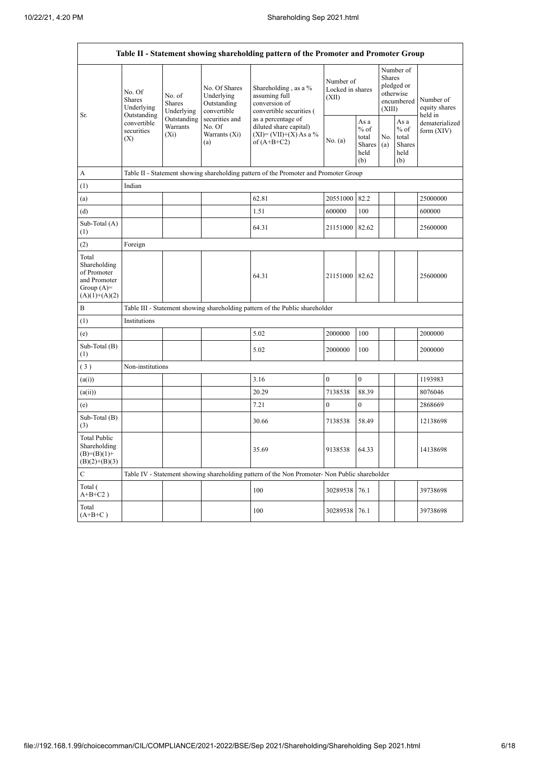ŕ

|                                                                                         | Table II - Statement showing shareholding pattern of the Promoter and Promoter Group |                                                                             |                                                           |                                                                                               |                                        |                                                  |                                                                        |                                                  |                                       |
|-----------------------------------------------------------------------------------------|--------------------------------------------------------------------------------------|-----------------------------------------------------------------------------|-----------------------------------------------------------|-----------------------------------------------------------------------------------------------|----------------------------------------|--------------------------------------------------|------------------------------------------------------------------------|--------------------------------------------------|---------------------------------------|
|                                                                                         | No. Of<br>Shares<br>Underlying<br>Outstanding<br>convertible<br>securities<br>(X)    | No. of<br>Shares<br>Underlying<br>Outstanding<br>Warrants<br>$(X_i)$<br>(a) | No. Of Shares<br>Underlying<br>Outstanding<br>convertible | Shareholding, as a %<br>assuming full<br>conversion of<br>convertible securities (            | Number of<br>Locked in shares<br>(XII) |                                                  | Number of<br>Shares<br>pledged or<br>otherwise<br>encumbered<br>(XIII) |                                                  | Number of<br>equity shares<br>held in |
| Sr.                                                                                     |                                                                                      |                                                                             | securities and<br>No. Of<br>Warrants (Xi)                 | as a percentage of<br>diluted share capital)<br>$(XI) = (VII)+(X) As a %$<br>of $(A+B+C2)$    | No. (a)                                | As a<br>$%$ of<br>total<br>Shares<br>held<br>(b) | No.<br>(a)                                                             | As a<br>$%$ of<br>total<br>Shares<br>held<br>(b) | dematerialized<br>form $(XIV)$        |
| A                                                                                       |                                                                                      |                                                                             |                                                           | Table II - Statement showing shareholding pattern of the Promoter and Promoter Group          |                                        |                                                  |                                                                        |                                                  |                                       |
| (1)                                                                                     | Indian                                                                               |                                                                             |                                                           |                                                                                               |                                        |                                                  |                                                                        |                                                  |                                       |
| (a)                                                                                     |                                                                                      |                                                                             |                                                           | 62.81                                                                                         | 20551000                               | 82.2                                             |                                                                        |                                                  | 25000000                              |
| (d)                                                                                     |                                                                                      |                                                                             |                                                           | 1.51                                                                                          | 600000                                 | 100                                              |                                                                        |                                                  | 600000                                |
| Sub-Total (A)<br>(1)                                                                    |                                                                                      |                                                                             |                                                           | 64.31                                                                                         | 21151000                               | 82.62                                            |                                                                        |                                                  | 25600000                              |
| (2)                                                                                     | Foreign                                                                              |                                                                             |                                                           |                                                                                               |                                        |                                                  |                                                                        |                                                  |                                       |
| Total<br>Shareholding<br>of Promoter<br>and Promoter<br>Group $(A)=$<br>$(A)(1)+(A)(2)$ |                                                                                      |                                                                             |                                                           | 64.31                                                                                         | 21151000                               | 82.62                                            |                                                                        |                                                  | 25600000                              |
| B                                                                                       |                                                                                      |                                                                             |                                                           | Table III - Statement showing shareholding pattern of the Public shareholder                  |                                        |                                                  |                                                                        |                                                  |                                       |
| (1)                                                                                     | Institutions                                                                         |                                                                             |                                                           |                                                                                               |                                        |                                                  |                                                                        |                                                  |                                       |
| (e)                                                                                     |                                                                                      |                                                                             |                                                           | 5.02                                                                                          | 2000000                                | 100                                              |                                                                        |                                                  | 2000000                               |
| Sub-Total (B)<br>(1)                                                                    |                                                                                      |                                                                             |                                                           | 5.02                                                                                          | 2000000                                | 100                                              |                                                                        |                                                  | 2000000                               |
| (3)                                                                                     | Non-institutions                                                                     |                                                                             |                                                           |                                                                                               |                                        |                                                  |                                                                        |                                                  |                                       |
| (a(i))                                                                                  |                                                                                      |                                                                             |                                                           | 3.16                                                                                          | $\mathbf{0}$                           | $\mathbf{0}$                                     |                                                                        |                                                  | 1193983                               |
| (a(ii))                                                                                 |                                                                                      |                                                                             |                                                           | 20.29                                                                                         | 7138538                                | 88.39                                            |                                                                        |                                                  | 8076046                               |
| (e)                                                                                     |                                                                                      |                                                                             |                                                           | 7.21                                                                                          | $\mathbf{0}$                           | $\theta$                                         |                                                                        |                                                  | 2868669                               |
| Sub-Total (B)<br>(3)                                                                    |                                                                                      |                                                                             |                                                           | 30.66                                                                                         | 7138538                                | 58.49                                            |                                                                        |                                                  | 12138698                              |
| Total Public<br>Shareholding<br>$(B)= (B)(1) +$<br>$(B)(2)+(B)(3)$                      |                                                                                      |                                                                             |                                                           | 35.69                                                                                         | 9138538                                | 64.33                                            |                                                                        |                                                  | 14138698                              |
| $\mathbf C$                                                                             |                                                                                      |                                                                             |                                                           | Table IV - Statement showing shareholding pattern of the Non Promoter- Non Public shareholder |                                        |                                                  |                                                                        |                                                  |                                       |
| Total (<br>$A+B+C2$ )                                                                   |                                                                                      |                                                                             |                                                           | 100                                                                                           | 30289538                               | 76.1                                             |                                                                        |                                                  | 39738698                              |
| Total<br>$(A+B+C)$                                                                      |                                                                                      |                                                                             |                                                           | 100                                                                                           | 30289538                               | 76.1                                             |                                                                        |                                                  | 39738698                              |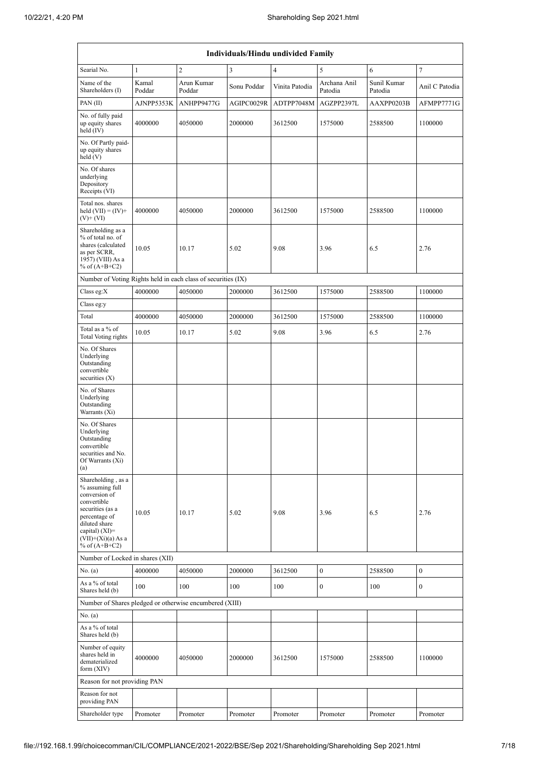| Individuals/Hindu undivided Family                                                                                                                                                         |                 |                      |             |                |                         |                        |                  |
|--------------------------------------------------------------------------------------------------------------------------------------------------------------------------------------------|-----------------|----------------------|-------------|----------------|-------------------------|------------------------|------------------|
| Searial No.                                                                                                                                                                                | $\mathbf{1}$    | $\overline{c}$       | 3           | $\overline{4}$ | 5                       | 6                      | 7                |
| Name of the<br>Shareholders (I)                                                                                                                                                            | Kamal<br>Poddar | Arun Kumar<br>Poddar | Sonu Poddar | Vinita Patodia | Archana Anil<br>Patodia | Sunil Kumar<br>Patodia | Anil C Patodia   |
| PAN(II)                                                                                                                                                                                    | AJNPP5353K      | ANHPP9477G           | AGIPC0029R  | ADTPP7048M     | AGZPP2397L              | AAXPP0203B             | AFMPP7771G       |
| No. of fully paid<br>up equity shares<br>held (IV)                                                                                                                                         | 4000000         | 4050000              | 2000000     | 3612500        | 1575000                 | 2588500                | 1100000          |
| No. Of Partly paid-<br>up equity shares<br>held(V)                                                                                                                                         |                 |                      |             |                |                         |                        |                  |
| No. Of shares<br>underlying<br>Depository<br>Receipts (VI)                                                                                                                                 |                 |                      |             |                |                         |                        |                  |
| Total nos. shares<br>held $(VII) = (IV) +$<br>$(V)$ + $(VI)$                                                                                                                               | 4000000         | 4050000              | 2000000     | 3612500        | 1575000                 | 2588500                | 1100000          |
| Shareholding as a<br>% of total no. of<br>shares (calculated<br>as per SCRR,<br>1957) (VIII) As a<br>% of $(A+B+C2)$                                                                       | 10.05           | 10.17                | 5.02        | 9.08           | 3.96                    | 6.5                    | 2.76             |
| Number of Voting Rights held in each class of securities (IX)                                                                                                                              |                 |                      |             |                |                         |                        |                  |
| Class eg: $X$                                                                                                                                                                              | 4000000         | 4050000              | 2000000     | 3612500        | 1575000                 | 2588500                | 1100000          |
| Class eg:y                                                                                                                                                                                 |                 |                      |             |                |                         |                        |                  |
| Total                                                                                                                                                                                      | 4000000         | 4050000              | 2000000     | 3612500        | 1575000                 | 2588500                | 1100000          |
| Total as a % of<br>Total Voting rights                                                                                                                                                     | 10.05           | 10.17                | 5.02        | 9.08           | 3.96                    | 6.5                    | 2.76             |
| No. Of Shares<br>Underlying<br>Outstanding<br>convertible<br>securities $(X)$                                                                                                              |                 |                      |             |                |                         |                        |                  |
| No. of Shares<br>Underlying<br>Outstanding<br>Warrants (Xi)                                                                                                                                |                 |                      |             |                |                         |                        |                  |
| No. Of Shares<br>Underlying<br>Outstanding<br>convertible<br>securities and No.<br>Of Warrants (Xi)<br>(a)                                                                                 |                 |                      |             |                |                         |                        |                  |
| Shareholding, as a<br>% assuming full<br>conversion of<br>convertible<br>securities (as a<br>percentage of<br>diluted share<br>capital) $(XI)=$<br>$(VII)+(Xi)(a) As a$<br>% of $(A+B+C2)$ | 10.05           | 10.17                | 5.02        | 9.08           | 3.96                    | 6.5                    | 2.76             |
| Number of Locked in shares (XII)                                                                                                                                                           |                 |                      |             |                |                         |                        |                  |
| No. (a)                                                                                                                                                                                    | 4000000         | 4050000              | 2000000     | 3612500        | $\boldsymbol{0}$        | 2588500                | $\boldsymbol{0}$ |
| As a % of total<br>Shares held (b)                                                                                                                                                         | 100             | 100                  | 100         | 100            | $\boldsymbol{0}$        | 100                    | 0                |
| Number of Shares pledged or otherwise encumbered (XIII)                                                                                                                                    |                 |                      |             |                |                         |                        |                  |
| No. (a)<br>As a $\%$ of total<br>Shares held (b)                                                                                                                                           |                 |                      |             |                |                         |                        |                  |
| Number of equity<br>shares held in<br>dematerialized<br>form $(XIV)$                                                                                                                       | 4000000         | 4050000              | 2000000     | 3612500        | 1575000                 | 2588500                | 1100000          |
| Reason for not providing PAN                                                                                                                                                               |                 |                      |             |                |                         |                        |                  |
| Reason for not<br>providing PAN                                                                                                                                                            |                 |                      |             |                |                         |                        |                  |
| Shareholder type                                                                                                                                                                           | Promoter        | Promoter             | Promoter    | Promoter       | Promoter                | Promoter               | Promoter         |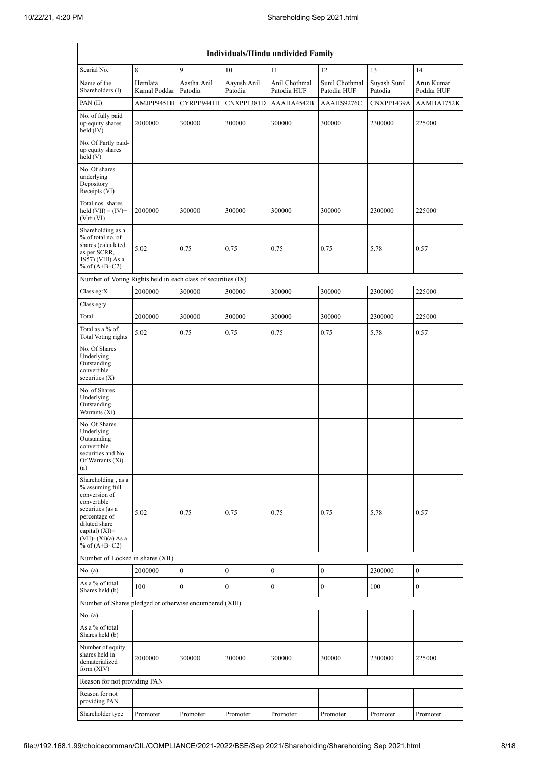|                                                                                                                                                                                            | Individuals/Hindu undivided Family |                        |                        |                              |                               |                         |                          |  |
|--------------------------------------------------------------------------------------------------------------------------------------------------------------------------------------------|------------------------------------|------------------------|------------------------|------------------------------|-------------------------------|-------------------------|--------------------------|--|
| Searial No.                                                                                                                                                                                | 8                                  | 9                      | 10                     | 11                           | 12                            | 13                      | 14                       |  |
| Name of the<br>Shareholders (I)                                                                                                                                                            | Hemlata<br>Kamal Poddar            | Aastha Anil<br>Patodia | Aayush Anil<br>Patodia | Anil Chothmal<br>Patodia HUF | Sunil Chothmal<br>Patodia HUF | Suyash Sunil<br>Patodia | Arun Kumar<br>Poddar HUF |  |
| PAN(II)                                                                                                                                                                                    | AMJPP9451H                         | CYRPP9441H             | CNXPP1381D             | AAAHA4542B                   | AAAHS9276C                    | CNXPP1439A              | AAMHA1752K               |  |
| No. of fully paid<br>up equity shares<br>held (IV)                                                                                                                                         | 2000000                            | 300000                 | 300000                 | 300000                       | 300000                        | 2300000                 | 225000                   |  |
| No. Of Partly paid-<br>up equity shares<br>held(V)                                                                                                                                         |                                    |                        |                        |                              |                               |                         |                          |  |
| No. Of shares<br>underlying<br>Depository<br>Receipts (VI)                                                                                                                                 |                                    |                        |                        |                              |                               |                         |                          |  |
| Total nos. shares<br>held $(VII) = (IV) +$<br>$(V)$ + $(VI)$                                                                                                                               | 2000000                            | 300000                 | 300000                 | 300000                       | 300000                        | 2300000                 | 225000                   |  |
| Shareholding as a<br>% of total no. of<br>shares (calculated<br>as per SCRR,<br>1957) (VIII) As a<br>% of $(A+B+C2)$                                                                       | 5.02                               | 0.75                   | 0.75                   | 0.75                         | 0.75                          | 5.78                    | 0.57                     |  |
| Number of Voting Rights held in each class of securities (IX)                                                                                                                              |                                    |                        |                        |                              |                               |                         |                          |  |
| Class eg: $X$                                                                                                                                                                              | 2000000                            | 300000                 | 300000                 | 300000                       | 300000                        | 2300000                 | 225000                   |  |
| Class eg:y                                                                                                                                                                                 |                                    |                        |                        |                              |                               |                         |                          |  |
| Total                                                                                                                                                                                      | 2000000                            | 300000                 | 300000                 | 300000                       | 300000                        | 2300000                 | 225000                   |  |
| Total as a % of<br>Total Voting rights                                                                                                                                                     | 5.02                               | 0.75                   | 0.75                   | 0.75                         | 0.75                          | 5.78                    | 0.57                     |  |
| No. Of Shares<br>Underlying<br>Outstanding<br>convertible<br>securities $(X)$                                                                                                              |                                    |                        |                        |                              |                               |                         |                          |  |
| No. of Shares<br>Underlying<br>Outstanding<br>Warrants (Xi)                                                                                                                                |                                    |                        |                        |                              |                               |                         |                          |  |
| No. Of Shares<br>Underlying<br>Outstanding<br>convertible<br>securities and No.<br>Of Warrants (Xi)<br>(a)                                                                                 |                                    |                        |                        |                              |                               |                         |                          |  |
| Shareholding, as a<br>% assuming full<br>conversion of<br>convertible<br>securities (as a<br>percentage of<br>diluted share<br>capital) $(XI)=$<br>$(VII)+(Xi)(a) As a$<br>% of $(A+B+C2)$ | 5.02                               | 0.75                   | 0.75                   | 0.75                         | 0.75                          | 5.78                    | 0.57                     |  |
| Number of Locked in shares (XII)                                                                                                                                                           |                                    |                        |                        |                              |                               |                         |                          |  |
| No. (a)                                                                                                                                                                                    | 2000000                            | $\boldsymbol{0}$       | $\boldsymbol{0}$       | $\boldsymbol{0}$             | $\boldsymbol{0}$              | 2300000                 | $\boldsymbol{0}$         |  |
| As a % of total<br>Shares held (b)                                                                                                                                                         | 100                                | $\bf{0}$               | $\boldsymbol{0}$       | $\boldsymbol{0}$             | $\bf{0}$                      | 100                     | $\boldsymbol{0}$         |  |
| Number of Shares pledged or otherwise encumbered (XIII)                                                                                                                                    |                                    |                        |                        |                              |                               |                         |                          |  |
| No. (a)<br>As a $\%$ of total<br>Shares held (b)                                                                                                                                           |                                    |                        |                        |                              |                               |                         |                          |  |
| Number of equity<br>shares held in<br>dematerialized<br>form (XIV)                                                                                                                         | 2000000                            | 300000                 | 300000                 | 300000                       | 300000                        | 2300000                 | 225000                   |  |
| Reason for not providing PAN                                                                                                                                                               |                                    |                        |                        |                              |                               |                         |                          |  |
| Reason for not<br>providing PAN                                                                                                                                                            |                                    |                        |                        |                              |                               |                         |                          |  |
| Shareholder type                                                                                                                                                                           | Promoter                           | Promoter               | Promoter               | Promoter                     | Promoter                      | Promoter                | Promoter                 |  |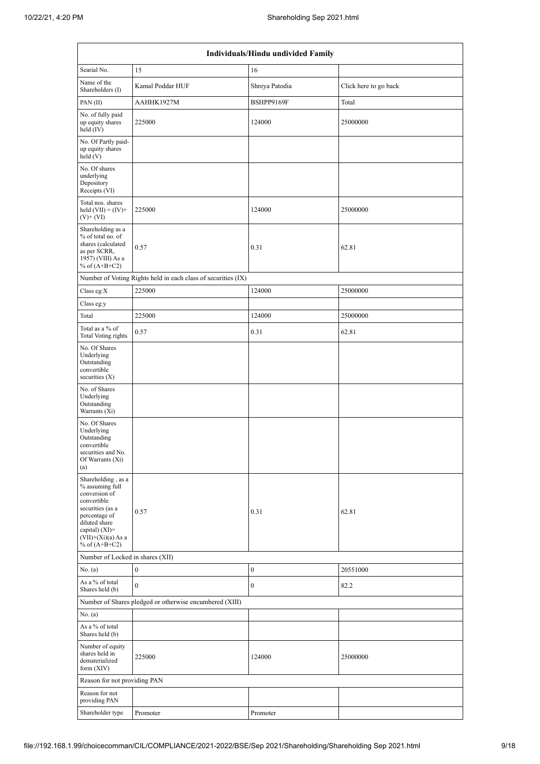| Individuals/Hindu undivided Family                                                                                                                                                          |                                                               |                  |                       |  |  |  |  |
|---------------------------------------------------------------------------------------------------------------------------------------------------------------------------------------------|---------------------------------------------------------------|------------------|-----------------------|--|--|--|--|
| Searial No.                                                                                                                                                                                 | 15                                                            | 16               |                       |  |  |  |  |
| Name of the<br>Shareholders (I)                                                                                                                                                             | Kamal Poddar HUF                                              | Shreya Patodia   | Click here to go back |  |  |  |  |
| PAN(II)                                                                                                                                                                                     | AAHHK1927M                                                    | BSHPP9169F       | Total                 |  |  |  |  |
| No. of fully paid<br>up equity shares<br>held $(IV)$                                                                                                                                        | 225000                                                        | 124000           | 25000000              |  |  |  |  |
| No. Of Partly paid-<br>up equity shares<br>held (V)                                                                                                                                         |                                                               |                  |                       |  |  |  |  |
| No. Of shares<br>underlying<br>Depository<br>Receipts (VI)                                                                                                                                  |                                                               |                  |                       |  |  |  |  |
| Total nos. shares<br>held $(VII) = (IV) +$<br>$(V)$ + $(VI)$                                                                                                                                | 225000                                                        | 124000           | 25000000              |  |  |  |  |
| Shareholding as a<br>% of total no. of<br>shares (calculated<br>as per SCRR,<br>1957) (VIII) As a<br>% of $(A+B+C2)$                                                                        | 0.57                                                          | 0.31             | 62.81                 |  |  |  |  |
|                                                                                                                                                                                             | Number of Voting Rights held in each class of securities (IX) |                  |                       |  |  |  |  |
| Class eg: $X$                                                                                                                                                                               | 225000                                                        | 124000           | 25000000              |  |  |  |  |
| Class eg:y                                                                                                                                                                                  |                                                               |                  |                       |  |  |  |  |
| Total                                                                                                                                                                                       | 225000                                                        | 124000           | 25000000              |  |  |  |  |
| Total as a % of<br><b>Total Voting rights</b>                                                                                                                                               | 0.57                                                          | 0.31             | 62.81                 |  |  |  |  |
| No. Of Shares<br>Underlying<br>Outstanding<br>convertible<br>securities $(X)$                                                                                                               |                                                               |                  |                       |  |  |  |  |
| No. of Shares<br>Underlying<br>Outstanding<br>Warrants (Xi)                                                                                                                                 |                                                               |                  |                       |  |  |  |  |
| No. Of Shares<br>Underlying<br>Outstanding<br>convertible<br>securities and No.<br>Of Warrants (Xi)<br>(a)                                                                                  |                                                               |                  |                       |  |  |  |  |
| Shareholding, as a<br>% assuming full<br>conversion of<br>convertible<br>securities (as a<br>percentage of<br>diluted share<br>capital) $(XI)$ =<br>$(VII)+(Xi)(a)$ As a<br>% of $(A+B+C2)$ | 0.57                                                          | 0.31             | 62.81                 |  |  |  |  |
| Number of Locked in shares (XII)                                                                                                                                                            |                                                               |                  |                       |  |  |  |  |
| No. (a)                                                                                                                                                                                     | $\boldsymbol{0}$                                              | $\boldsymbol{0}$ | 20551000              |  |  |  |  |
| As a % of total<br>Shares held (b)                                                                                                                                                          | $\mathbf{0}$                                                  | $\mathbf{0}$     | 82.2                  |  |  |  |  |
|                                                                                                                                                                                             | Number of Shares pledged or otherwise encumbered (XIII)       |                  |                       |  |  |  |  |
| No. (a)<br>As a % of total<br>Shares held (b)                                                                                                                                               |                                                               |                  |                       |  |  |  |  |
| Number of equity<br>shares held in<br>dematerialized<br>form $(XIV)$                                                                                                                        | 225000                                                        | 124000           | 25000000              |  |  |  |  |
| Reason for not providing PAN                                                                                                                                                                |                                                               |                  |                       |  |  |  |  |
| Reason for not<br>providing PAN                                                                                                                                                             |                                                               |                  |                       |  |  |  |  |
| Shareholder type                                                                                                                                                                            | Promoter                                                      | Promoter         |                       |  |  |  |  |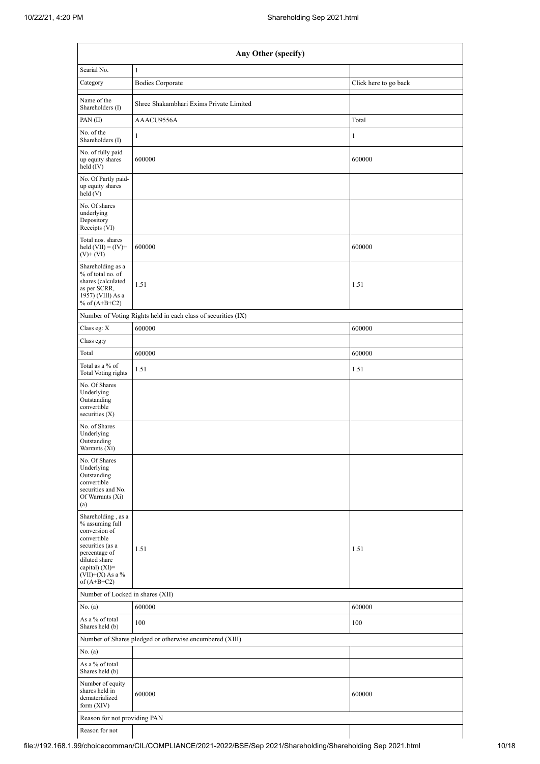| Any Other (specify)                                                                                                                                                                    |                                                               |                       |  |  |  |  |  |
|----------------------------------------------------------------------------------------------------------------------------------------------------------------------------------------|---------------------------------------------------------------|-----------------------|--|--|--|--|--|
| Searial No.                                                                                                                                                                            | $\mathbf{1}$                                                  |                       |  |  |  |  |  |
| Category                                                                                                                                                                               | <b>Bodies Corporate</b>                                       | Click here to go back |  |  |  |  |  |
| Name of the<br>Shareholders (I)                                                                                                                                                        | Shree Shakambhari Exims Private Limited                       |                       |  |  |  |  |  |
| PAN(II)                                                                                                                                                                                | AAACU9556A                                                    | Total                 |  |  |  |  |  |
| No. of the<br>Shareholders (I)                                                                                                                                                         | $\mathbf{1}$                                                  | 1                     |  |  |  |  |  |
| No. of fully paid<br>up equity shares<br>held (IV)                                                                                                                                     | 600000                                                        | 600000                |  |  |  |  |  |
| No. Of Partly paid-<br>up equity shares<br>held(V)                                                                                                                                     |                                                               |                       |  |  |  |  |  |
| No. Of shares<br>underlying<br>Depository<br>Receipts (VI)                                                                                                                             |                                                               |                       |  |  |  |  |  |
| Total nos. shares<br>held $(VII) = (IV) +$<br>$(V)$ + $(VI)$                                                                                                                           | 600000                                                        | 600000                |  |  |  |  |  |
| Shareholding as a<br>% of total no. of<br>shares (calculated<br>as per SCRR,<br>1957) (VIII) As a<br>% of $(A+B+C2)$                                                                   | 1.51                                                          | 1.51                  |  |  |  |  |  |
|                                                                                                                                                                                        | Number of Voting Rights held in each class of securities (IX) |                       |  |  |  |  |  |
| Class eg: X                                                                                                                                                                            | 600000                                                        | 600000                |  |  |  |  |  |
| Class eg:y                                                                                                                                                                             |                                                               |                       |  |  |  |  |  |
| Total                                                                                                                                                                                  | 600000                                                        | 600000                |  |  |  |  |  |
| Total as a % of<br>Total Voting rights                                                                                                                                                 | 1.51                                                          | 1.51                  |  |  |  |  |  |
| No. Of Shares<br>Underlying<br>Outstanding<br>convertible<br>securities $(X)$                                                                                                          |                                                               |                       |  |  |  |  |  |
| No. of Shares<br>Underlying<br>Outstanding<br>Warrants (Xi)                                                                                                                            |                                                               |                       |  |  |  |  |  |
| No. Of Shares<br>Underlying<br>Outstanding<br>convertible<br>securities and No.<br>Of Warrants (Xi)<br>(a)                                                                             |                                                               |                       |  |  |  |  |  |
| Shareholding, as a<br>% assuming full<br>conversion of<br>convertible<br>securities (as a<br>percentage of<br>diluted share<br>capital) $(XI)=$<br>$(VII)+(X)$ As a %<br>of $(A+B+C2)$ | 1.51                                                          | 1.51                  |  |  |  |  |  |
| Number of Locked in shares (XII)                                                                                                                                                       |                                                               |                       |  |  |  |  |  |
| No. (a)                                                                                                                                                                                | 600000                                                        | 600000                |  |  |  |  |  |
| As a % of total<br>Shares held (b)                                                                                                                                                     | 100                                                           | 100                   |  |  |  |  |  |
|                                                                                                                                                                                        | Number of Shares pledged or otherwise encumbered (XIII)       |                       |  |  |  |  |  |
| No. (a)                                                                                                                                                                                |                                                               |                       |  |  |  |  |  |
| As a % of total<br>Shares held (b)                                                                                                                                                     |                                                               |                       |  |  |  |  |  |
| Number of equity<br>shares held in<br>dematerialized<br>form $(XIV)$                                                                                                                   | 600000<br>600000                                              |                       |  |  |  |  |  |
| Reason for not providing PAN                                                                                                                                                           |                                                               |                       |  |  |  |  |  |
| Reason for not                                                                                                                                                                         |                                                               |                       |  |  |  |  |  |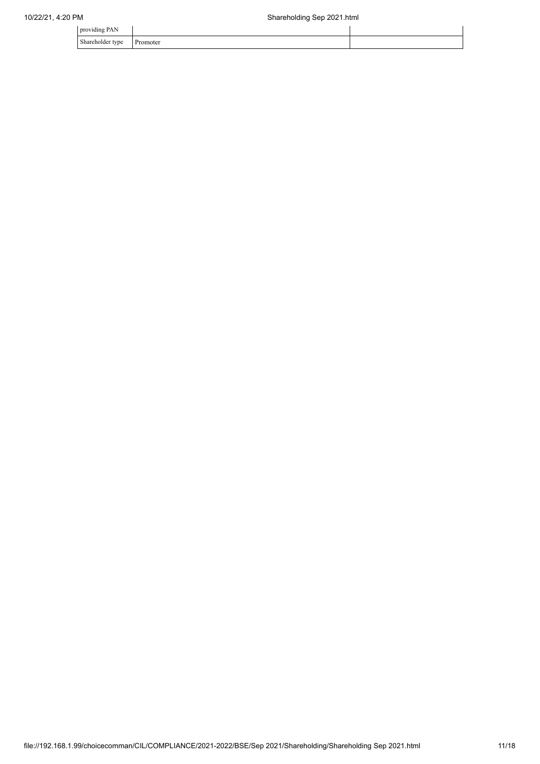| providing PAN                |                     |  |
|------------------------------|---------------------|--|
| Shareholder type<br>$\sim$ 1 | Promoter<br>------- |  |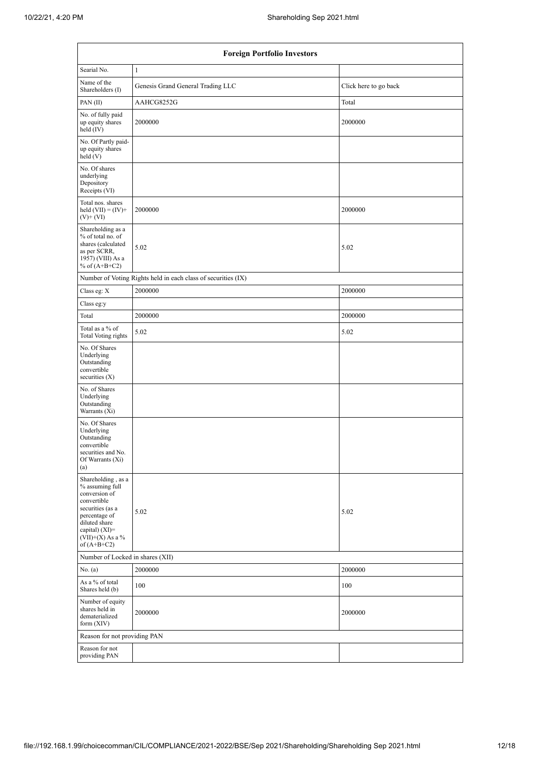| <b>Foreign Portfolio Investors</b>                                                                                                                                                   |                                                               |                       |  |  |  |  |  |
|--------------------------------------------------------------------------------------------------------------------------------------------------------------------------------------|---------------------------------------------------------------|-----------------------|--|--|--|--|--|
| Searial No.                                                                                                                                                                          | $\mathbf{1}$                                                  |                       |  |  |  |  |  |
| Name of the<br>Shareholders (I)                                                                                                                                                      | Genesis Grand General Trading LLC                             | Click here to go back |  |  |  |  |  |
| PAN(II)                                                                                                                                                                              | AAHCG8252G                                                    | Total                 |  |  |  |  |  |
| No. of fully paid<br>up equity shares<br>held $(IV)$                                                                                                                                 | 2000000                                                       | 2000000               |  |  |  |  |  |
| No. Of Partly paid-<br>up equity shares<br>held(V)                                                                                                                                   |                                                               |                       |  |  |  |  |  |
| No. Of shares<br>underlying<br>Depository<br>Receipts (VI)                                                                                                                           |                                                               |                       |  |  |  |  |  |
| Total nos. shares<br>held $(VII) = (IV) +$<br>$(V)$ + $(VI)$                                                                                                                         | 2000000                                                       | 2000000               |  |  |  |  |  |
| Shareholding as a<br>% of total no. of<br>shares (calculated<br>as per SCRR,<br>1957) (VIII) As a<br>% of $(A+B+C2)$                                                                 | 5.02                                                          | 5.02                  |  |  |  |  |  |
|                                                                                                                                                                                      | Number of Voting Rights held in each class of securities (IX) |                       |  |  |  |  |  |
| Class eg: X                                                                                                                                                                          | 2000000                                                       | 2000000               |  |  |  |  |  |
| Class eg:y                                                                                                                                                                           |                                                               |                       |  |  |  |  |  |
| Total                                                                                                                                                                                | 2000000                                                       | 2000000               |  |  |  |  |  |
| Total as a % of<br><b>Total Voting rights</b>                                                                                                                                        | 5.02                                                          | 5.02                  |  |  |  |  |  |
| No. Of Shares<br>Underlying<br>Outstanding<br>convertible<br>securities $(X)$                                                                                                        |                                                               |                       |  |  |  |  |  |
| No. of Shares<br>Underlying<br>Outstanding<br>Warrants $(X_i)$                                                                                                                       |                                                               |                       |  |  |  |  |  |
| No. Of Shares<br>Underlying<br>Outstanding<br>convertible<br>securities and No.<br>Of Warrants (Xi)<br>(a)                                                                           |                                                               |                       |  |  |  |  |  |
| Shareholding, as a<br>% assuming full<br>conversion of<br>convertible<br>securities (as a<br>percentage of<br>diluted share<br>capital) (XI)=<br>$(VII)+(X)$ As a %<br>of $(A+B+C2)$ | 5.02                                                          | 5.02                  |  |  |  |  |  |
| Number of Locked in shares (XII)                                                                                                                                                     |                                                               |                       |  |  |  |  |  |
| No. (a)                                                                                                                                                                              | 2000000                                                       | 2000000               |  |  |  |  |  |
| As a % of total<br>Shares held (b)                                                                                                                                                   | 100                                                           | 100                   |  |  |  |  |  |
| Number of equity<br>shares held in<br>dematerialized<br>form (XIV)                                                                                                                   | 2000000                                                       | 2000000               |  |  |  |  |  |
| Reason for not providing PAN                                                                                                                                                         |                                                               |                       |  |  |  |  |  |
| Reason for not<br>providing PAN                                                                                                                                                      |                                                               |                       |  |  |  |  |  |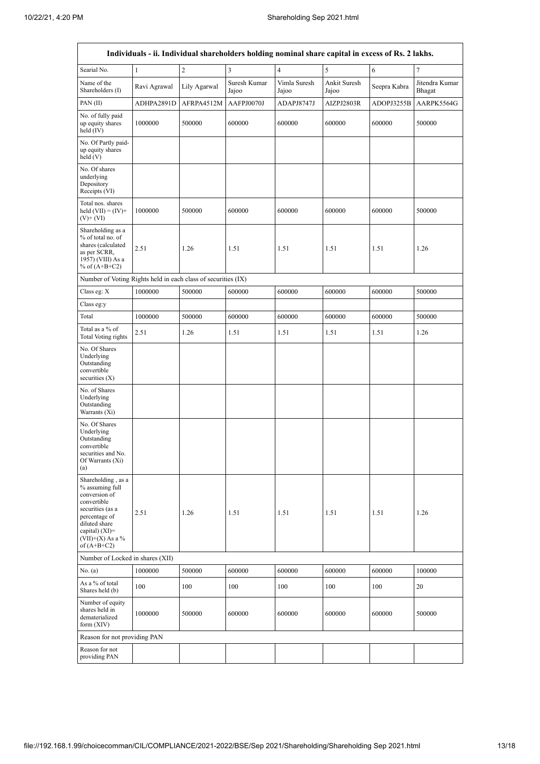r

| Individuals - ii. Individual shareholders holding nominal share capital in excess of Rs. 2 lakhs.                                                                                    |              |                |                         |                       |                       |              |                          |  |  |  |
|--------------------------------------------------------------------------------------------------------------------------------------------------------------------------------------|--------------|----------------|-------------------------|-----------------------|-----------------------|--------------|--------------------------|--|--|--|
| Searial No.                                                                                                                                                                          | $\mathbf{1}$ | $\overline{c}$ | $\overline{\mathbf{3}}$ | $\overline{4}$        | 5                     | 6            | $\overline{7}$           |  |  |  |
| Name of the<br>Shareholders (I)                                                                                                                                                      | Ravi Agrawal | Lily Agarwal   | Suresh Kumar<br>Jajoo   | Vimla Suresh<br>Jajoo | Ankit Suresh<br>Jajoo | Seepra Kabra | Jitendra Kumar<br>Bhagat |  |  |  |
| PAN(II)                                                                                                                                                                              | ADHPA2891D   | AFRPA4512M     | AAFPJ0070J              | ADAPJ8747J            | AIZPJ2803R            | ADOPJ3255B   | AARPK5564G               |  |  |  |
| No. of fully paid<br>up equity shares<br>held (IV)                                                                                                                                   | 1000000      | 500000         | 600000                  | 600000                | 600000                | 600000       | 500000                   |  |  |  |
| No. Of Partly paid-<br>up equity shares<br>held (V)                                                                                                                                  |              |                |                         |                       |                       |              |                          |  |  |  |
| No. Of shares<br>underlying<br>Depository<br>Receipts (VI)                                                                                                                           |              |                |                         |                       |                       |              |                          |  |  |  |
| Total nos. shares<br>held $(VII) = (IV) +$<br>$(V)$ + $(VI)$                                                                                                                         | 1000000      | 500000         | 600000                  | 600000                | 600000                | 600000       | 500000                   |  |  |  |
| Shareholding as a<br>% of total no. of<br>shares (calculated<br>as per SCRR,<br>1957) (VIII) As a<br>% of $(A+B+C2)$                                                                 | 2.51         | 1.26           | 1.51                    | 1.51                  | 1.51                  | 1.51         | 1.26                     |  |  |  |
| Number of Voting Rights held in each class of securities (IX)                                                                                                                        |              |                |                         |                       |                       |              |                          |  |  |  |
| Class eg: X                                                                                                                                                                          | 1000000      | 500000         | 600000                  | 600000                | 600000                | 600000       | 500000                   |  |  |  |
| Class eg:y                                                                                                                                                                           |              |                |                         |                       |                       |              |                          |  |  |  |
| Total                                                                                                                                                                                | 1000000      | 500000         | 600000                  | 600000                | 600000                | 600000       | 500000                   |  |  |  |
| Total as a % of<br>Total Voting rights                                                                                                                                               | 2.51         | 1.26           | 1.51                    | 1.51                  | 1.51                  | 1.51         | 1.26                     |  |  |  |
| No. Of Shares<br>Underlying<br>Outstanding<br>convertible<br>securities $(X)$                                                                                                        |              |                |                         |                       |                       |              |                          |  |  |  |
| No. of Shares<br>Underlying<br>Outstanding<br>Warrants (Xi)                                                                                                                          |              |                |                         |                       |                       |              |                          |  |  |  |
| No. Of Shares<br>Underlying<br>Outstanding<br>convertible<br>securities and No.<br>Of Warrants (Xi)<br>(a)                                                                           |              |                |                         |                       |                       |              |                          |  |  |  |
| Shareholding, as a<br>% assuming full<br>conversion of<br>convertible<br>securities (as a<br>percentage of<br>diluted share<br>capital) (XI)=<br>$(VII)+(X)$ As a %<br>of $(A+B+C2)$ | 2.51         | 1.26           | 1.51                    | 1.51                  | 1.51                  | 1.51         | 1.26                     |  |  |  |
| Number of Locked in shares (XII)                                                                                                                                                     |              |                |                         |                       |                       |              |                          |  |  |  |
| No. (a)                                                                                                                                                                              | 1000000      | 500000         | 600000                  | 600000                | 600000                | 600000       | 100000                   |  |  |  |
| As a % of total<br>Shares held (b)                                                                                                                                                   | 100          | 100            | 100                     | 100                   | 100                   | 100          | 20                       |  |  |  |
| Number of equity<br>shares held in<br>dematerialized<br>form (XIV)                                                                                                                   | 1000000      | 500000         | 600000                  | 600000                | 600000                | 600000       | 500000                   |  |  |  |
| Reason for not providing PAN                                                                                                                                                         |              |                |                         |                       |                       |              |                          |  |  |  |
| Reason for not<br>providing PAN                                                                                                                                                      |              |                |                         |                       |                       |              |                          |  |  |  |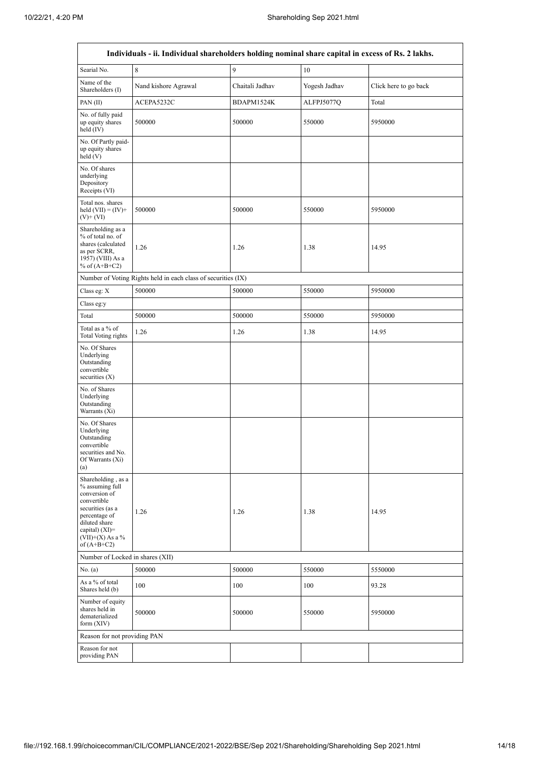$\overline{1}$ 

 $\overline{\mathsf{I}}$ 

|                                                                                                                                                                                         | Individuals - ii. Individual shareholders holding nominal share capital in excess of Rs. 2 lakhs. |                 |               |                       |  |  |  |  |  |  |  |
|-----------------------------------------------------------------------------------------------------------------------------------------------------------------------------------------|---------------------------------------------------------------------------------------------------|-----------------|---------------|-----------------------|--|--|--|--|--|--|--|
| Searial No.                                                                                                                                                                             | 8                                                                                                 | 9               | 10            |                       |  |  |  |  |  |  |  |
| Name of the<br>Shareholders (I)                                                                                                                                                         | Nand kishore Agrawal                                                                              | Chaitali Jadhav | Yogesh Jadhav | Click here to go back |  |  |  |  |  |  |  |
| PAN(II)                                                                                                                                                                                 | ACEPA5232C                                                                                        | BDAPM1524K      | ALFPJ5077Q    | Total                 |  |  |  |  |  |  |  |
| No. of fully paid<br>up equity shares<br>held $(IV)$                                                                                                                                    | 500000                                                                                            | 500000          | 550000        | 5950000               |  |  |  |  |  |  |  |
| No. Of Partly paid-<br>up equity shares<br>held(V)                                                                                                                                      |                                                                                                   |                 |               |                       |  |  |  |  |  |  |  |
| No. Of shares<br>underlying<br>Depository<br>Receipts (VI)                                                                                                                              |                                                                                                   |                 |               |                       |  |  |  |  |  |  |  |
| Total nos. shares<br>held $(VII) = (IV) +$<br>$(V)$ + $(VI)$                                                                                                                            | 500000                                                                                            | 500000          | 550000        | 5950000               |  |  |  |  |  |  |  |
| Shareholding as a<br>% of total no. of<br>shares (calculated<br>as per SCRR,<br>1957) (VIII) As a<br>% of $(A+B+C2)$                                                                    | 1.26                                                                                              | 1.26            | 1.38          | 14.95                 |  |  |  |  |  |  |  |
|                                                                                                                                                                                         | Number of Voting Rights held in each class of securities (IX)                                     |                 |               |                       |  |  |  |  |  |  |  |
| Class eg: X                                                                                                                                                                             | 500000                                                                                            | 500000          | 550000        | 5950000               |  |  |  |  |  |  |  |
| Class eg:y                                                                                                                                                                              |                                                                                                   |                 |               |                       |  |  |  |  |  |  |  |
| Total                                                                                                                                                                                   | 500000                                                                                            | 500000          | 550000        | 5950000               |  |  |  |  |  |  |  |
| Total as a % of<br>Total Voting rights                                                                                                                                                  | 1.26                                                                                              | 1.26            | 1.38          | 14.95                 |  |  |  |  |  |  |  |
| No. Of Shares<br>Underlying<br>Outstanding<br>convertible<br>securities $(X)$                                                                                                           |                                                                                                   |                 |               |                       |  |  |  |  |  |  |  |
| No. of Shares<br>Underlying<br>Outstanding<br>Warrants (Xi)                                                                                                                             |                                                                                                   |                 |               |                       |  |  |  |  |  |  |  |
| No. Of Shares<br>Underlying<br>Outstanding<br>convertible<br>securities and No.<br>Of Warrants (Xi)<br>(a)                                                                              |                                                                                                   |                 |               |                       |  |  |  |  |  |  |  |
| Shareholding, as a<br>% assuming full<br>conversion of<br>convertible<br>securities (as a<br>percentage of<br>diluted share<br>capital) $(XI)$ =<br>$(VII)+(X)$ As a %<br>of $(A+B+C2)$ | 1.26                                                                                              | 1.26            | 1.38          | 14.95                 |  |  |  |  |  |  |  |
| Number of Locked in shares (XII)                                                                                                                                                        |                                                                                                   |                 |               |                       |  |  |  |  |  |  |  |
| No. (a)                                                                                                                                                                                 | 500000                                                                                            | 500000          | 550000        | 5550000               |  |  |  |  |  |  |  |
| As a % of total<br>Shares held (b)                                                                                                                                                      | 100                                                                                               | 100             | 100           | 93.28                 |  |  |  |  |  |  |  |
| Number of equity<br>shares held in<br>dematerialized<br>form (XIV)                                                                                                                      | 500000                                                                                            | 500000          | 550000        | 5950000               |  |  |  |  |  |  |  |
| Reason for not providing PAN                                                                                                                                                            |                                                                                                   |                 |               |                       |  |  |  |  |  |  |  |
| Reason for not<br>providing PAN                                                                                                                                                         |                                                                                                   |                 |               |                       |  |  |  |  |  |  |  |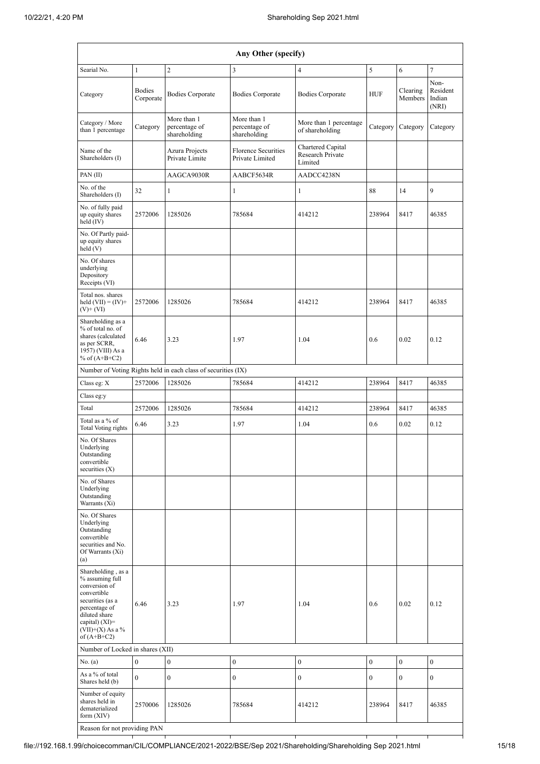| Any Other (specify)                                                                                                                                                                  |                            |                                                               |                                               |                                                  |                  |                     |                                     |  |  |  |  |
|--------------------------------------------------------------------------------------------------------------------------------------------------------------------------------------|----------------------------|---------------------------------------------------------------|-----------------------------------------------|--------------------------------------------------|------------------|---------------------|-------------------------------------|--|--|--|--|
| Searial No.<br>$\overline{2}$<br>5<br>7<br>3<br>4<br>6<br>1                                                                                                                          |                            |                                                               |                                               |                                                  |                  |                     |                                     |  |  |  |  |
| Category                                                                                                                                                                             | <b>Bodies</b><br>Corporate | <b>Bodies Corporate</b>                                       | <b>Bodies Corporate</b>                       | <b>Bodies Corporate</b>                          | <b>HUF</b>       | Clearing<br>Members | Non-<br>Resident<br>Indian<br>(NRI) |  |  |  |  |
| Category / More<br>than 1 percentage                                                                                                                                                 | Category                   | More than 1<br>percentage of<br>shareholding                  | More than 1<br>percentage of<br>shareholding  | More than 1 percentage<br>of shareholding        | Category         | Category            | Category                            |  |  |  |  |
| Name of the<br>Shareholders (I)                                                                                                                                                      |                            | Azura Projects<br>Private Limite                              | <b>Florence Securities</b><br>Private Limited | Chartered Capital<br>Research Private<br>Limited |                  |                     |                                     |  |  |  |  |
| PAN(II)                                                                                                                                                                              |                            | AAGCA9030R                                                    | AABCF5634R                                    | AADCC4238N                                       |                  |                     |                                     |  |  |  |  |
| No. of the<br>Shareholders (I)                                                                                                                                                       | 32                         | $\mathbf{1}$                                                  | $\mathbf{1}$                                  | 1                                                | 88               | 14                  | 9                                   |  |  |  |  |
| No. of fully paid<br>up equity shares<br>held (IV)                                                                                                                                   | 2572006                    | 1285026                                                       | 785684                                        | 414212                                           | 238964           | 8417                | 46385                               |  |  |  |  |
| No. Of Partly paid-<br>up equity shares<br>held(V)                                                                                                                                   |                            |                                                               |                                               |                                                  |                  |                     |                                     |  |  |  |  |
| No. Of shares<br>underlying<br>Depository<br>Receipts (VI)                                                                                                                           |                            |                                                               |                                               |                                                  |                  |                     |                                     |  |  |  |  |
| Total nos. shares<br>held $(VII) = (IV) +$<br>$(V)$ + $(VI)$                                                                                                                         | 2572006                    | 1285026                                                       | 785684                                        | 414212                                           | 238964           | 8417                | 46385                               |  |  |  |  |
| Shareholding as a<br>% of total no. of<br>shares (calculated<br>as per SCRR,<br>1957) (VIII) As a<br>% of $(A+B+C2)$                                                                 | 6.46                       | 3.23                                                          | 1.97                                          | 1.04                                             | 0.6              | 0.02                | 0.12                                |  |  |  |  |
|                                                                                                                                                                                      |                            | Number of Voting Rights held in each class of securities (IX) |                                               |                                                  |                  |                     |                                     |  |  |  |  |
| Class eg: X                                                                                                                                                                          | 2572006                    | 1285026                                                       | 785684                                        | 414212                                           | 238964           | 8417                | 46385                               |  |  |  |  |
| Class eg:y                                                                                                                                                                           |                            |                                                               |                                               |                                                  |                  |                     |                                     |  |  |  |  |
| Total                                                                                                                                                                                | 2572006                    | 1285026                                                       | 785684                                        | 414212                                           | 238964           | 8417                | 46385                               |  |  |  |  |
| Total as a % of<br>Total Voting rights                                                                                                                                               | 6.46                       | 3.23                                                          | 1.97                                          | 1.04                                             | 0.6              | 0.02                | 0.12                                |  |  |  |  |
| No. Of Shares<br>Underlying<br>Outstanding<br>convertible<br>securities $(X)$                                                                                                        |                            |                                                               |                                               |                                                  |                  |                     |                                     |  |  |  |  |
| No. of Shares<br>Underlying<br>Outstanding<br>Warrants (Xi)                                                                                                                          |                            |                                                               |                                               |                                                  |                  |                     |                                     |  |  |  |  |
| No. Of Shares<br>Underlying<br>Outstanding<br>convertible<br>securities and No.<br>Of Warrants (Xi)<br>(a)                                                                           |                            |                                                               |                                               |                                                  |                  |                     |                                     |  |  |  |  |
| Shareholding, as a<br>% assuming full<br>conversion of<br>convertible<br>securities (as a<br>percentage of<br>diluted share<br>capital) (XI)=<br>$(VII)+(X)$ As a %<br>of $(A+B+C2)$ | 6.46                       | 3.23                                                          | 1.97                                          | 1.04                                             | 0.6              | 0.02                | 0.12                                |  |  |  |  |
| Number of Locked in shares (XII)                                                                                                                                                     |                            |                                                               |                                               |                                                  |                  |                     |                                     |  |  |  |  |
| No. (a)                                                                                                                                                                              | $\boldsymbol{0}$           | $\boldsymbol{0}$                                              | $\boldsymbol{0}$                              | $\boldsymbol{0}$                                 | $\boldsymbol{0}$ | $\boldsymbol{0}$    | $\boldsymbol{0}$                    |  |  |  |  |
| As a % of total<br>Shares held (b)                                                                                                                                                   | $\mathbf{0}$               | $\boldsymbol{0}$                                              | $\boldsymbol{0}$                              | $\boldsymbol{0}$                                 | $\boldsymbol{0}$ | $\boldsymbol{0}$    | $\boldsymbol{0}$                    |  |  |  |  |
| Number of equity<br>shares held in<br>dematerialized<br>form $(XIV)$                                                                                                                 | 2570006                    | 1285026                                                       | 785684                                        | 414212                                           | 238964           | 8417                | 46385                               |  |  |  |  |
| Reason for not providing PAN                                                                                                                                                         |                            |                                                               |                                               |                                                  |                  |                     |                                     |  |  |  |  |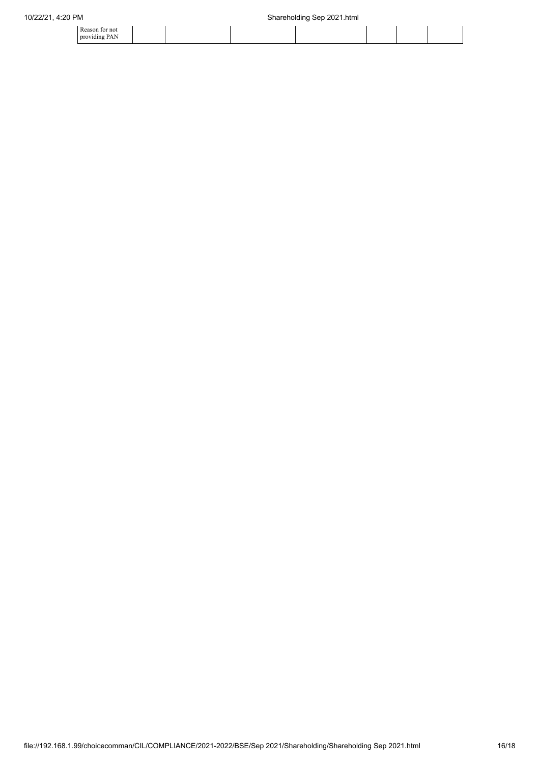| 10/22/21, 4:20 PM               |  | Shareholding Sep 2021.html |  |  |  |  |  |
|---------------------------------|--|----------------------------|--|--|--|--|--|
| Reason for not<br>providing PAN |  |                            |  |  |  |  |  |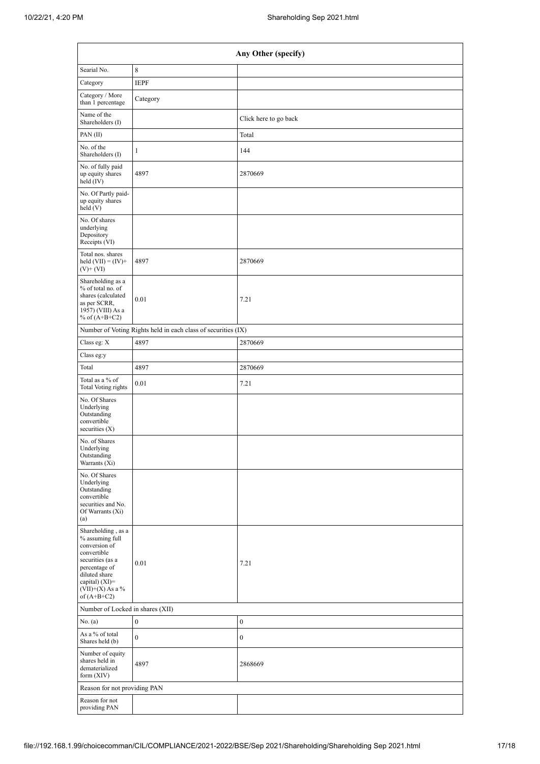| Any Other (specify)                                                                                                                                                                    |                                                               |                       |  |  |  |  |  |  |  |
|----------------------------------------------------------------------------------------------------------------------------------------------------------------------------------------|---------------------------------------------------------------|-----------------------|--|--|--|--|--|--|--|
| Searial No.                                                                                                                                                                            | 8                                                             |                       |  |  |  |  |  |  |  |
| Category                                                                                                                                                                               | <b>IEPF</b>                                                   |                       |  |  |  |  |  |  |  |
| Category / More<br>than 1 percentage                                                                                                                                                   | Category                                                      |                       |  |  |  |  |  |  |  |
| Name of the<br>Shareholders (I)                                                                                                                                                        |                                                               | Click here to go back |  |  |  |  |  |  |  |
| PAN(II)                                                                                                                                                                                |                                                               | Total                 |  |  |  |  |  |  |  |
| No. of the<br>Shareholders (I)                                                                                                                                                         | $\mathbf{1}$                                                  | 144                   |  |  |  |  |  |  |  |
| No. of fully paid<br>up equity shares<br>held (IV)                                                                                                                                     | 4897                                                          | 2870669               |  |  |  |  |  |  |  |
| No. Of Partly paid-<br>up equity shares<br>held(V)                                                                                                                                     |                                                               |                       |  |  |  |  |  |  |  |
| No. Of shares<br>underlying<br>Depository<br>Receipts (VI)                                                                                                                             |                                                               |                       |  |  |  |  |  |  |  |
| Total nos. shares<br>held $(VII) = (IV) +$<br>$(V)$ + $(VI)$                                                                                                                           | 4897                                                          | 2870669               |  |  |  |  |  |  |  |
| Shareholding as a<br>% of total no. of<br>shares (calculated<br>as per SCRR,<br>1957) (VIII) As a<br>% of $(A+B+C2)$                                                                   | 0.01                                                          | 7.21                  |  |  |  |  |  |  |  |
|                                                                                                                                                                                        | Number of Voting Rights held in each class of securities (IX) |                       |  |  |  |  |  |  |  |
| Class eg: X                                                                                                                                                                            | 4897                                                          | 2870669               |  |  |  |  |  |  |  |
| Class eg:y                                                                                                                                                                             |                                                               |                       |  |  |  |  |  |  |  |
| Total                                                                                                                                                                                  | 4897                                                          | 2870669               |  |  |  |  |  |  |  |
| Total as a % of<br>Total Voting rights                                                                                                                                                 | 0.01                                                          | 7.21                  |  |  |  |  |  |  |  |
| No. Of Shares<br>Underlying<br>Outstanding<br>convertible<br>securities $(X)$                                                                                                          |                                                               |                       |  |  |  |  |  |  |  |
| No. of Shares<br>Underlying<br>Outstanding<br>Warrants $(X_i)$                                                                                                                         |                                                               |                       |  |  |  |  |  |  |  |
| No. Of Shares<br>Underlying<br>Outstanding<br>convertible<br>securities and No.<br>Of Warrants (Xi)<br>(a)                                                                             |                                                               |                       |  |  |  |  |  |  |  |
| Shareholding, as a<br>% assuming full<br>conversion of<br>convertible<br>securities (as a<br>percentage of<br>diluted share<br>capital) $(XI)=$<br>$(VII)+(X)$ As a %<br>of $(A+B+C2)$ | 0.01                                                          | 7.21                  |  |  |  |  |  |  |  |
| Number of Locked in shares (XII)                                                                                                                                                       |                                                               |                       |  |  |  |  |  |  |  |
| No. (a)                                                                                                                                                                                | $\boldsymbol{0}$                                              | $\boldsymbol{0}$      |  |  |  |  |  |  |  |
| As a % of total<br>Shares held (b)                                                                                                                                                     | $\mathbf{0}$                                                  | $\bf{0}$              |  |  |  |  |  |  |  |
| Number of equity<br>shares held in<br>dematerialized<br>form $(XIV)$                                                                                                                   | 4897                                                          | 2868669               |  |  |  |  |  |  |  |
| Reason for not providing PAN                                                                                                                                                           |                                                               |                       |  |  |  |  |  |  |  |
| Reason for not<br>providing PAN                                                                                                                                                        |                                                               |                       |  |  |  |  |  |  |  |